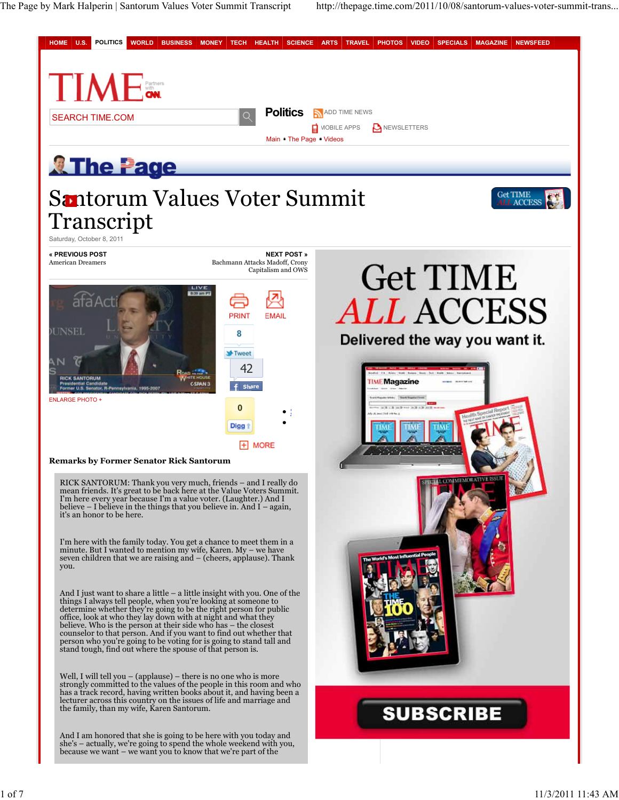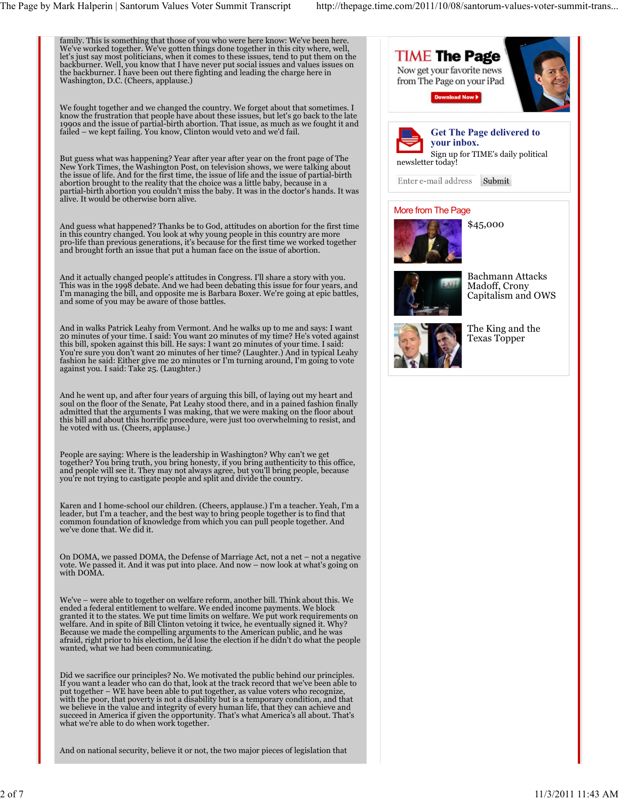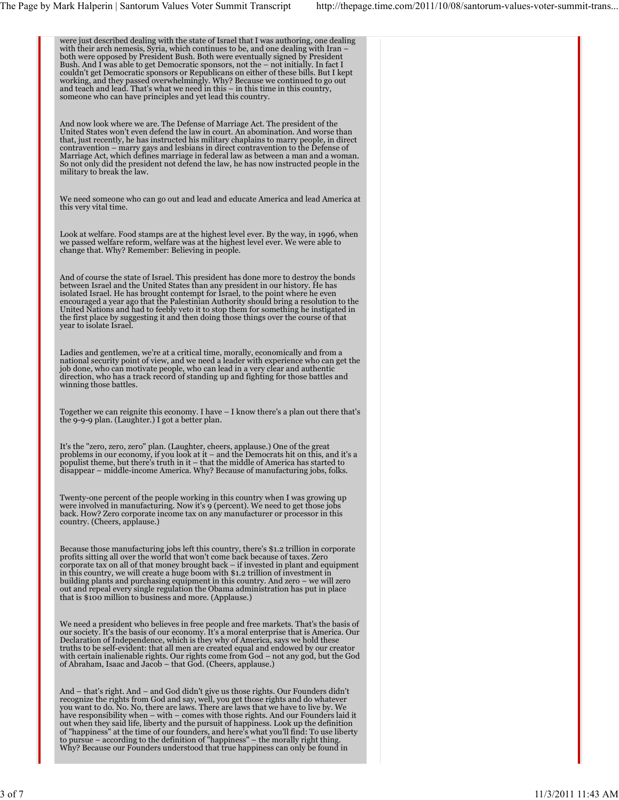| were just described dealing with the state of Israel that I was authoring, one dealing<br>with their arch nemesis, Syria, which continues to be, and one dealing with Iran -<br>both were opposed by President Bush. Both were eventually signed by President<br>Bush. And I was able to get Democratic sponsors, not the – not initially. In fact I<br>couldn't get Democratic sponsors or Republicans on either of these bills. But I kept<br>working, and they passed overwhelmingly. Why? Because we continued to go out<br>and teach and lead. That's what we need in this – in this time in this country,<br>someone who can have principles and yet lead this country.                                  |  |
|----------------------------------------------------------------------------------------------------------------------------------------------------------------------------------------------------------------------------------------------------------------------------------------------------------------------------------------------------------------------------------------------------------------------------------------------------------------------------------------------------------------------------------------------------------------------------------------------------------------------------------------------------------------------------------------------------------------|--|
| And now look where we are. The Defense of Marriage Act. The president of the<br>United States won't even defend the law in court. An abomination. And worse than<br>that, just recently, he has instructed his military chaplains to marry people, in direct<br>contravention – marry gays and lesbians in direct contravention to the Defense of<br>Marriage Act, which defines marriage in federal law as between a man and a woman.<br>So not only did the president not defend the law, he has now instructed people in the<br>military to break the law.                                                                                                                                                  |  |
| We need someone who can go out and lead and educate America and lead America at<br>this very vital time.                                                                                                                                                                                                                                                                                                                                                                                                                                                                                                                                                                                                       |  |
| Look at welfare. Food stamps are at the highest level ever. By the way, in 1996, when<br>we passed welfare reform, welfare was at the highest level ever. We were able to<br>change that. Why? Remember: Believing in people.                                                                                                                                                                                                                                                                                                                                                                                                                                                                                  |  |
| And of course the state of Israel. This president has done more to destroy the bonds<br>between Israel and the United States than any president in our history. He has<br>isolated Israel. He has brought contempt for Israel, to the point where he even<br>encouraged a year ago that the Palestinian Authority should bring a resolution to the<br>United Nations and had to feebly veto it to stop them for something he instigated in<br>the first place by suggesting it and then doing those things over the course of that<br>year to isolate Israel.                                                                                                                                                  |  |
| Ladies and gentlemen, we're at a critical time, morally, economically and from a<br>national security point of view, and we need a leader with experience who can get the<br>job done, who can motivate people, who can lead in a very clear and authentic<br>direction, who has a track record of standing up and fighting for those battles and<br>winning those battles.                                                                                                                                                                                                                                                                                                                                    |  |
| Together we can reignite this economy. I have $-1$ know there's a plan out there that's<br>the 9-9-9 plan. (Laughter.) I got a better plan.                                                                                                                                                                                                                                                                                                                                                                                                                                                                                                                                                                    |  |
| It's the "zero, zero, zero" plan. (Laughter, cheers, applause.) One of the great<br>problems in our economy, if you look at $t -$ and the Democrats hit on this, and it's a<br>populist theme, but there's truth in it – that the middle of America has started to<br>disappear – middle-income America. Why? Because of manufacturing jobs, folks.                                                                                                                                                                                                                                                                                                                                                            |  |
| Twenty-one percent of the people working in this country when I was growing up<br>were involved in manufacturing. Now it's 9 (percent). We need to get those jobs<br>back. How? Zero corporate income tax on any manufacturer or processor in this<br>country. (Cheers, applause.)                                                                                                                                                                                                                                                                                                                                                                                                                             |  |
| Because those manufacturing jobs left this country, there's \$1.2 trillion in corporate<br>profits sitting all over the world that won't come back because of taxes. Zero<br>corporate tax on all of that money brought back - if invested in plant and equipment<br>in this country, we will create a huge boom with \$1.2 trillion of investment in<br>building plants and purchasing equipment in this country. And zero – we will zero<br>out and repeal every single regulation the Obama administration has put in place<br>that is \$100 million to business and more. (Applause.)                                                                                                                      |  |
| We need a president who believes in free people and free markets. That's the basis of<br>our society. It's the basis of our economy. It's a moral enterprise that is America. Our<br>Declaration of Independence, which is they why of America, says we hold these<br>truths to be self-evident: that all men are created equal and endowed by our creator<br>with certain inalienable rights. Our rights come from God – not any god, but the God<br>of Abraham, Isaac and Jacob – that God. (Cheers, applause.)                                                                                                                                                                                              |  |
| And – that's right. And – and God didn't give us those rights. Our Founders didn't<br>recognize the rights from God and say, well, you get those rights and do whatever<br>you want to do. No. No, there are laws. There are laws that we have to live by. We<br>have responsibility when – with – comes with those rights. And our Founders laid it<br>out when they said life, liberty and the pursuit of happiness. Look up the definition<br>of "happiness" at the time of our founders, and here's what you'll find: To use liberty<br>to pursue – according to the definition of "happiness" – the morally right thing.<br>Why? Because our Founders understood that true happiness can only be found in |  |
|                                                                                                                                                                                                                                                                                                                                                                                                                                                                                                                                                                                                                                                                                                                |  |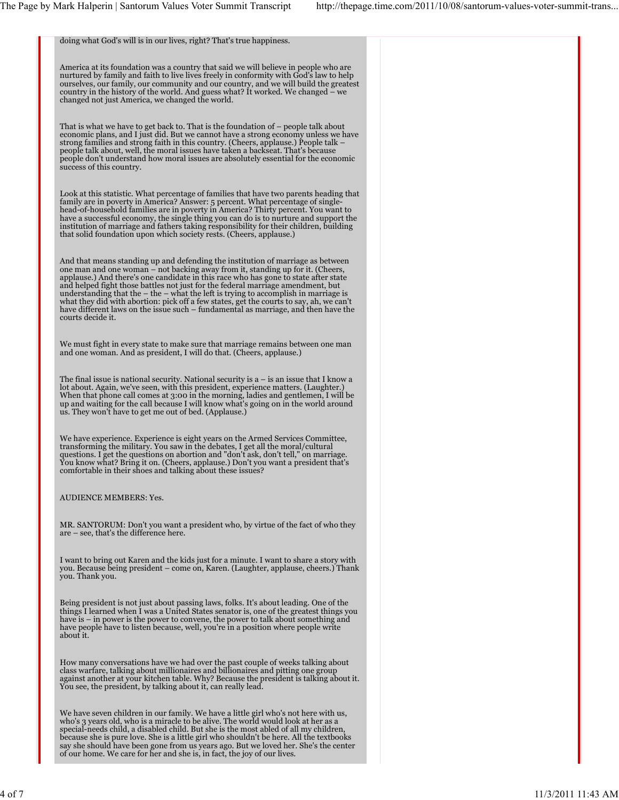doing what God's will is in our lives, right? That's true happiness. America at its foundation was a country that said we will believe in people who are nurtured by family and faith to live lives freely in conformity with God's law to help ourselves, our family, our community and our country, and we will build the greatest country in the history of the world. And guess what? It worked. We changed – we changed not just America, we changed the world. That is what we have to get back to. That is the foundation of – people talk about economic plans, and I just did. But we cannot have a strong economy unless we have strong families and strong faith in this country. (Cheers, applause.) People talk – people talk about, well, the moral issues have taken a backseat. That's because people don't understand how moral issues are absolutely essential for the economic success of this country. Look at this statistic. What percentage of families that have two parents heading that<br>family are in poverty in America? Answer: 5 percent. What percentage of single-<br>head-of-household families are in poverty in America? T have a successful economy, the single thing you can do is to nurture and support the institution of marriage and fathers taking responsibility for their children, building that solid foundation upon which society rests. (Cheers, applause.) And that means standing up and defending the institution of marriage as between one man and one woman – not backing away from it, standing up for it. (Cheers,<br>applause.) And there's one candidate in this race who has gone to state after state<br>and helped fight those battles not just for the federal mar what they did with abortion: pick off a few states, get the courts to say, ah, we can't have different laws on the issue such – fundamental as marriage, and then have the courts decide it. We must fight in every state to make sure that marriage remains between one man and one woman. And as president, I will do that. (Cheers, applause.) The final issue is national security. National security is a – is an issue that I know a<br>lot about. Again, we've seen, with this president, experience matters. (Laughter.)<br>When that phone call comes at 3:00 in the morning, up and waiting for the call because I will know what's going on in the world around us. They won't have to get me out of bed. (Applause.) We have experience. Experience is eight years on the Armed Services Committee,<br>transforming the military. You saw in the debates, I get all the moral/cultural<br>questions. I get the questions on abortion and "don't ask, don' You know what? Bring it on. (Cheers, applause.) Don't you want a president that's comfortable in their shoes and talking about these issues? AUDIENCE MEMBERS: Yes. MR. SANTORUM: Don't you want a president who, by virtue of the fact of who they are – see, that's the difference here. I want to bring out Karen and the kids just for a minute. I want to share a story with you. Because being president – come on, Karen. (Laughter, applause, cheers.) Thank you. Thank you. Being president is not just about passing laws, folks. It's about leading. One of the things I learned when I was a United States senator is, one of the greatest things you<br>have is – in power is the power to convene, the power to talk about something and<br>have people have to listen because, well, you're in a How many conversations have we had over the past couple of weeks talking about<br>class warfare, talking about millionaires and billionaires and pitting one group<br>against another at your kitchen table. Why? Because the presid We have seven children in our family. We have a little girl who's not here with us, who's 3 years old, who is a miracle to be alive. The world would look at her as a<br>special-needs child, a disabled child. But she is the most abled of all my children,<br>because she is pure love. She is a little girl who shou say she should have been gone from us years ago. But we loved her. She's the center of our home. We care for her and she is, in fact, the joy of our lives.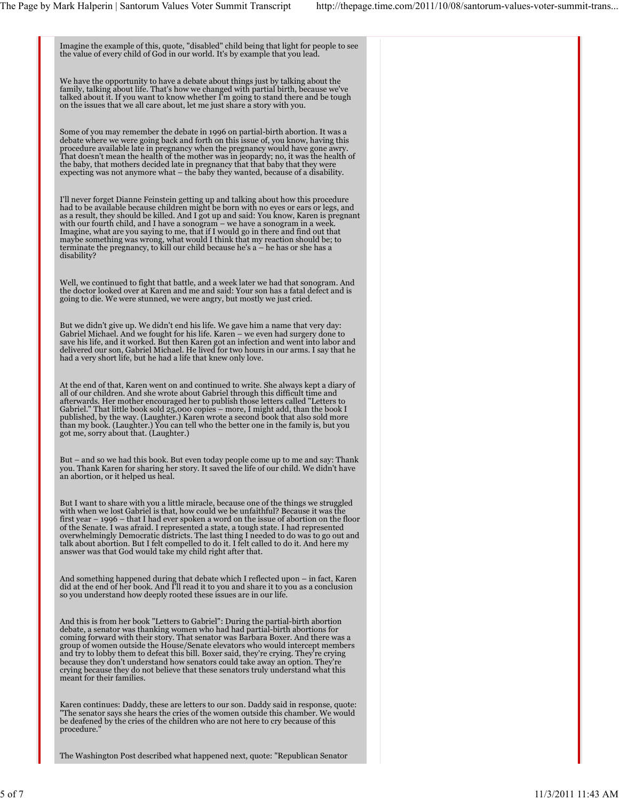Imagine the example of this, quote, "disabled" child being that light for people to see the value of every child of God in our world. It's by example that you lead. We have the opportunity to have a debate about things just by talking about the family, talking about life. That's how we changed with partial birth, because we've<br>talked about it. If you want to know whether I'm going to stand there and be tough<br>on the issues that we all care about, let me just share Some of you may remember the debate in 1996 on partial-birth abortion. It was a debate where we were going back and forth on this issue of, you know, having this<br>procedure available late in pregnancy when the pregnancy would have gone awry.<br>That doesn't mean the health of the mother was in jeopardy; n expecting was not anymore what – the baby they wanted, because of a disability. I'll never forget Dianne Feinstein getting up and talking about how this procedure had to be available because children might be born with no eyes or ears or legs, and as a result, they should be killed. And I got up and said: You know, Karen is pregnant with our fourth child, and I have a sonogram – we have a sonogram in a week. Imagine, what are you saying to me, that if I would go in there and find out that<br>maybe something was wrong, what would I think that my reaction should be; to<br>terminate the pregnancy, to kill our child because he's a – he disability? Well, we continued to fight that battle, and a week later we had that sonogram. And the doctor looked over at Karen and me and said: Your son has a fatal defect and is going to die. We were stunned, we were angry, but mostly we just cried. But we didn't give up. We didn't end his life. We gave him a name that very day: Gabriel Michael. And we fought for his life. Karen – we even had surgery done to<br>save his life, and it worked. But then Karen got an infection and went into labor and<br>delivered our son, Gabriel Michael. He lived for two ho had a very short life, but he had a life that knew only love. At the end of that, Karen went on and continued to write. She always kept a diary of all of our children. And she wrote about Gabriel through this difficult time and afterwards. Her mother encouraged her to publish those letters called "Letters to Gabriel." That little book sold 25,000 copies – more, I might add, than the book I published, by the way. (Laughter.) Karen wrote a second book that also sold more than my book. (Laughter.) You can tell who the better one in the family is, but you got me, sorry about that. (Laughter.) But – and so we had this book. But even today people come up to me and say: Thank you. Thank Karen for sharing her story. It saved the life of our child. We didn't have an abortion, or it helped us heal. But I want to share with you a little miracle, because one of the things we struggled with when we lost Gabriel is that, how could we be unfaithful? Because it was the first year – 1996 – that I had ever spoken a word on the issue of abortion on the floor of the Senate. I was afraid. I represented a state, a tough state. I had represented<br>overwhelmingly Democratic districts. The last thing I needed to do was to go out and<br>talk about abortion. But I felt compelled to do it. answer was that God would take my child right after that. And something happened during that debate which I reflected upon – in fact, Karen<br>did at the end of her book. And I'll read it to you and share it to you as a conclusion<br>so you understand how deeply rooted these issues are And this is from her book "Letters to Gabriel": During the partial-birth abortion debate, a senator was thanking women who had had partial-birth abortions for coming forward with their story. That senator was Barbara Boxer. And there was a group of women outside the House/Senate elevators who would intercept members and try to lobby them to defeat this bill. Boxer said, they're crying. They're crying because they don't understand how senators could take away an option. They're crying because they do not believe that these senators truly understand what this meant for their families. Karen continues: Daddy, these are letters to our son. Daddy said in response, quote: "The senator says she hears the cries of the women outside this chamber. We would be deafened by the cries of the children who are not here to cry because of this procedure."

The Washington Post described what happened next, quote: "Republican Senator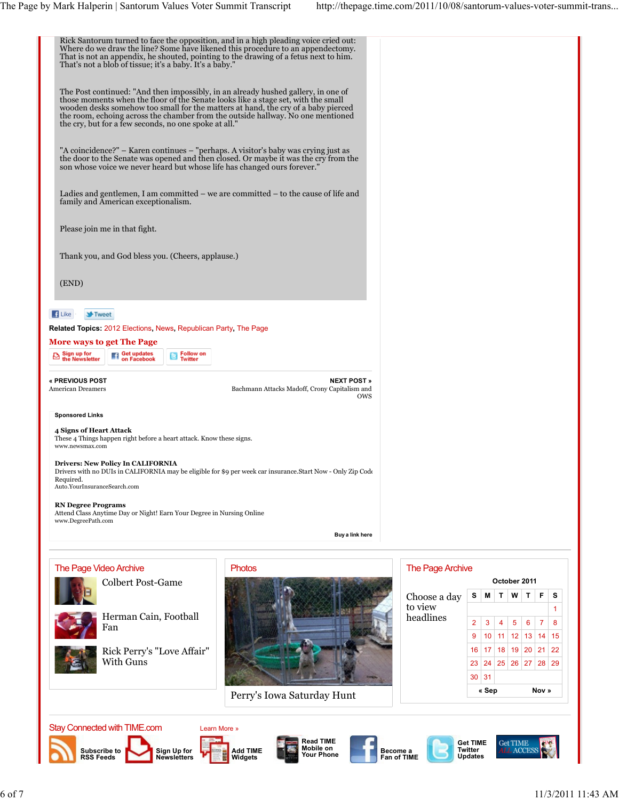